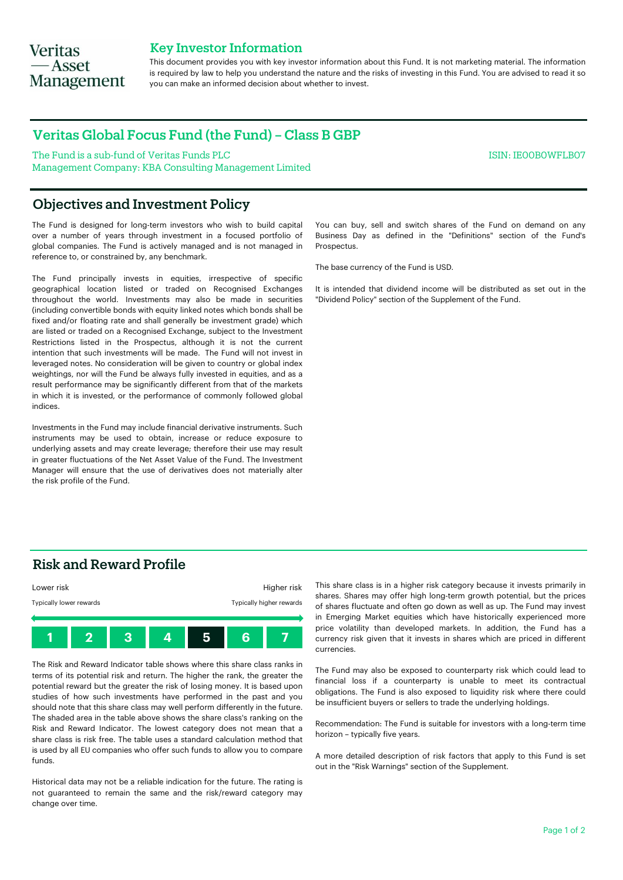# **Veritas** — Asset **Management**

## Key Investor Information

This document provides you with key investor information about this Fund. It is not marketing material. The information is required by law to help you understand the nature and the risks of investing in this Fund. You are advised to read it so you can make an informed decision about whether to invest.

## Veritas Global Focus Fund (the Fund) – Class B GBP

The Fund is a sub-fund of Veritas Funds PLC Management Company: KBA Consulting Management Limited

## Objectives and Investment Policy

The Fund is designed for long-term investors who wish to build capital over a number of years through investment in a focused portfolio of global companies. The Fund is actively managed and is not managed in reference to, or constrained by, any benchmark.

The Fund principally invests in equities, irrespective of specific geographical location listed or traded on Recognised Exchanges throughout the world. Investments may also be made in securities (including convertible bonds with equity linked notes which bonds shall be fixed and/or floating rate and shall generally be investment grade) which are listed or traded on a Recognised Exchange, subject to the Investment Restrictions listed in the Prospectus, although it is not the current intention that such investments will be made. The Fund will not invest in leveraged notes. No consideration will be given to country or global index weightings, nor will the Fund be always fully invested in equities, and as a result performance may be significantly different from that of the markets in which it is invested, or the performance of commonly followed global indices.

Investments in the Fund may include financial derivative instruments. Such instruments may be used to obtain, increase or reduce exposure to underlying assets and may create leverage; therefore their use may result in greater fluctuations of the Net Asset Value of the Fund. The Investment Manager will ensure that the use of derivatives does not materially alter the risk profile of the Fund.

You can buy, sell and switch shares of the Fund on demand on any Business Day as defined in the "Definitions" section of the Fund's Prospectus.

ISIN: IE00B0WFLB07

The base currency of the Fund is USD.

It is intended that dividend income will be distributed as set out in the "Dividend Policy" section of the Supplement of the Fund.

## Risk and Reward Profile



The Risk and Reward Indicator table shows where this share class ranks in terms of its potential risk and return. The higher the rank, the greater the potential reward but the greater the risk of losing money. It is based upon studies of how such investments have performed in the past and you should note that this share class may well perform differently in the future. The shaded area in the table above shows the share class's ranking on the Risk and Reward Indicator. The lowest category does not mean that a share class is risk free. The table uses a standard calculation method that is used by all EU companies who offer such funds to allow you to compare funds.

Historical data may not be a reliable indication for the future. The rating is not guaranteed to remain the same and the risk/reward category may change over time.

This share class is in a higher risk category because it invests primarily in shares. Shares may offer high long-term growth potential, but the prices of shares fluctuate and often go down as well as up. The Fund may invest in Emerging Market equities which have historically experienced more price volatility than developed markets. In addition, the Fund has a currency risk given that it invests in shares which are priced in different currencies.

The Fund may also be exposed to counterparty risk which could lead to financial loss if a counterparty is unable to meet its contractual obligations. The Fund is also exposed to liquidity risk where there could be insufficient buyers or sellers to trade the underlying holdings.

Recommendation: The Fund is suitable for investors with a long-term time horizon – typically five years.

A more detailed description of risk factors that apply to this Fund is set out in the "Risk Warnings" section of the Supplement.